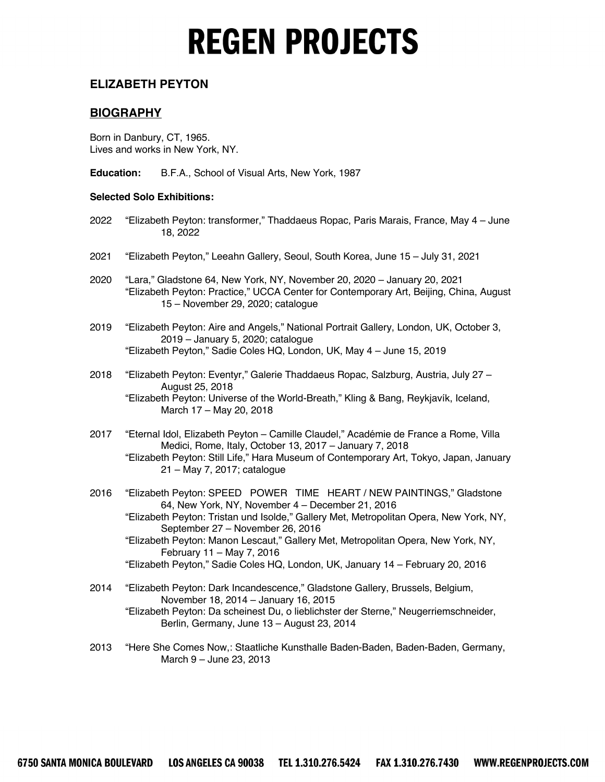#### **ELIZABETH PEYTON**

#### **BIOGRAPHY**

Born in Danbury, CT, 1965. Lives and works in New York, NY.

**Education:** B.F.A., School of Visual Arts, New York, 1987

#### **Selected Solo Exhibitions:**

- 2022 "Elizabeth Peyton: transformer," Thaddaeus Ropac, Paris Marais, France, May 4 June 18, 2022
- 2021 "Elizabeth Peyton," Leeahn Gallery, Seoul, South Korea, June 15 July 31, 2021
- 2020 "Lara," Gladstone 64, New York, NY, November 20, 2020 January 20, 2021 "Elizabeth Peyton: Practice," UCCA Center for Contemporary Art, Beijing, China, August 15 – November 29, 2020; catalogue
- 2019 "Elizabeth Peyton: Aire and Angels," National Portrait Gallery, London, UK, October 3, 2019 – January 5, 2020; catalogue "Elizabeth Peyton," Sadie Coles HQ, London, UK, May 4 – June 15, 2019
- 2018 "Elizabeth Peyton: Eventyr," Galerie Thaddaeus Ropac, Salzburg, Austria, July 27 August 25, 2018 "Elizabeth Peyton: Universe of the World-Breath," Kling & Bang, Reykjavík, Iceland, March 17 – May 20, 2018
- 2017 "Eternal Idol, Elizabeth Peyton Camille Claudel," Académie de France a Rome, Villa Medici, Rome, Italy, October 13, 2017 – January 7, 2018
	- "Elizabeth Peyton: Still Life," Hara Museum of Contemporary Art, Tokyo, Japan, January 21 – May 7, 2017; catalogue
- 2016 "Elizabeth Peyton: SPEED POWER TIME HEART / NEW PAINTINGS," Gladstone 64, New York, NY, November 4 – December 21, 2016 "Elizabeth Peyton: Tristan und Isolde," Gallery Met, Metropolitan Opera, New York, NY, September 27 – November 26, 2016

"Elizabeth Peyton: Manon Lescaut," Gallery Met, Metropolitan Opera, New York, NY, February 11 – May 7, 2016

- "Elizabeth Peyton," Sadie Coles HQ, London, UK, January 14 February 20, 2016
- 2014 "Elizabeth Peyton: Dark Incandescence," Gladstone Gallery, Brussels, Belgium, November 18, 2014 – January 16, 2015 "Elizabeth Peyton: Da scheinest Du, o lieblichster der Sterne," Neugerriemschneider, Berlin, Germany, June 13 – August 23, 2014
- 2013 "Here She Comes Now,: Staatliche Kunsthalle Baden-Baden, Baden-Baden, Germany, March 9 – June 23, 2013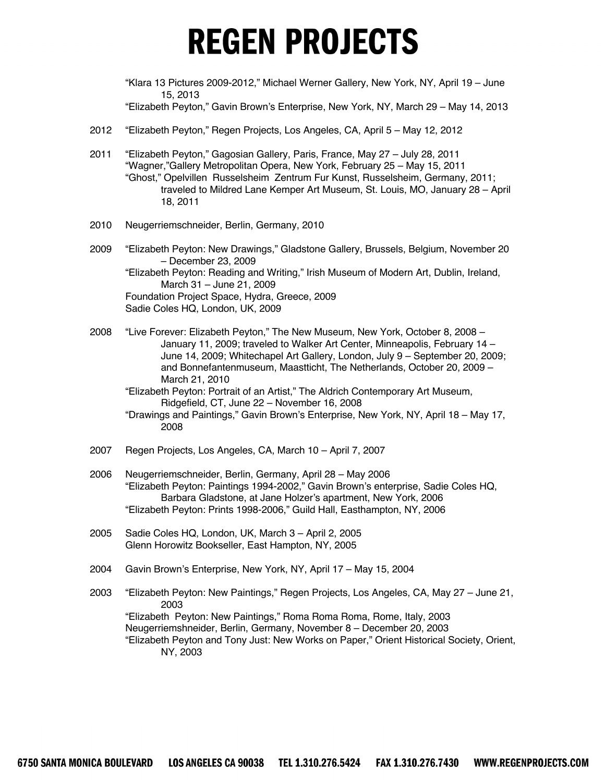"Klara 13 Pictures 2009-2012," Michael Werner Gallery, New York, NY, April 19 – June 15, 2013

"Elizabeth Peyton," Gavin Brown's Enterprise, New York, NY, March 29 – May 14, 2013

- 2012 "Elizabeth Peyton," Regen Projects, Los Angeles, CA, April 5 May 12, 2012
- 2011 "Elizabeth Peyton," Gagosian Gallery, Paris, France, May 27 July 28, 2011 "Wagner,"Gallery Metropolitan Opera, New York, February 25 – May 15, 2011 "Ghost," Opelvillen Russelsheim Zentrum Fur Kunst, Russelsheim, Germany, 2011; traveled to Mildred Lane Kemper Art Museum, St. Louis, MO, January 28 – April 18, 2011
- 2010 Neugerriemschneider, Berlin, Germany, 2010
- 2009 "Elizabeth Peyton: New Drawings," Gladstone Gallery, Brussels, Belgium, November 20 – December 23, 2009 "Elizabeth Peyton: Reading and Writing," Irish Museum of Modern Art, Dublin, Ireland, March 31 – June 21, 2009 Foundation Project Space, Hydra, Greece, 2009 Sadie Coles HQ, London, UK, 2009
- 2008 "Live Forever: Elizabeth Peyton," The New Museum, New York, October 8, 2008 January 11, 2009; traveled to Walker Art Center, Minneapolis, February 14 – June 14, 2009; Whitechapel Art Gallery, London, July 9 – September 20, 2009; and Bonnefantenmuseum, Maastticht, The Netherlands, October 20, 2009 – March 21, 2010

"Elizabeth Peyton: Portrait of an Artist," The Aldrich Contemporary Art Museum, Ridgefield, CT, June 22 – November 16, 2008

- "Drawings and Paintings," Gavin Brown's Enterprise, New York, NY, April 18 May 17, 2008
- 2007 Regen Projects, Los Angeles, CA, March 10 April 7, 2007
- 2006 Neugerriemschneider, Berlin, Germany, April 28 May 2006 "Elizabeth Peyton: Paintings 1994-2002," Gavin Brown's enterprise, Sadie Coles HQ, Barbara Gladstone, at Jane Holzer's apartment, New York, 2006 "Elizabeth Peyton: Prints 1998-2006," Guild Hall, Easthampton, NY, 2006
- 2005 Sadie Coles HQ, London, UK, March 3 April 2, 2005 Glenn Horowitz Bookseller, East Hampton, NY, 2005
- 2004 Gavin Brown's Enterprise, New York, NY, April 17 May 15, 2004
- 2003 "Elizabeth Peyton: New Paintings," Regen Projects, Los Angeles, CA, May 27 June 21, 2003 "Elizabeth Peyton: New Paintings," Roma Roma Roma, Rome, Italy, 2003 Neugerriemshneider, Berlin, Germany, November 8 – December 20, 2003 "Elizabeth Peyton and Tony Just: New Works on Paper," Orient Historical Society, Orient, NY, 2003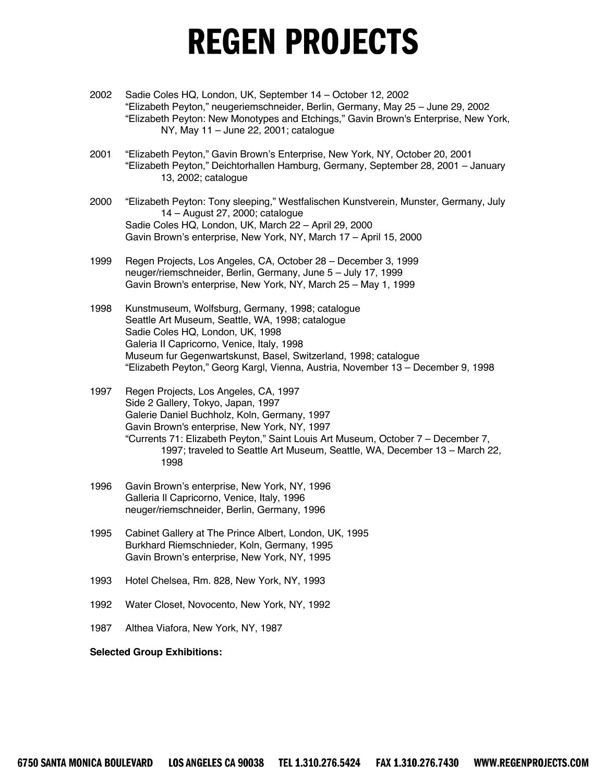- 2002 Sadie Coles HQ, London, UK, September 14 October 12, 2002 "Elizabeth Peyton," neugeriemschneider, Berlin, Germany, May 25 – June 29, 2002 "Elizabeth Peyton: New Monotypes and Etchings," Gavin Brown's Enterprise, New York, NY, May 11 – June 22, 2001; catalogue
- 2001 "Elizabeth Peyton," Gavin Brown's Enterprise, New York, NY, October 20, 2001 "Elizabeth Peyton," Deichtorhallen Hamburg, Germany, September 28, 2001 – January 13, 2002; catalogue
- 2000 "Elizabeth Peyton: Tony sleeping," Westfalischen Kunstverein, Munster, Germany, July 14 – August 27, 2000; catalogue Sadie Coles HQ, London, UK, March 22 – April 29, 2000 Gavin Brown's enterprise, New York, NY, March 17 – April 15, 2000
- 1999 Regen Projects, Los Angeles, CA, October 28 December 3, 1999 neuger/riemschneider, Berlin, Germany, June 5 – July 17, 1999 Gavin Brown's enterprise, New York, NY, March 25 – May 1, 1999
- 1998 Kunstmuseum, Wolfsburg, Germany, 1998; catalogue Seattle Art Museum, Seattle, WA, 1998; catalogue Sadie Coles HQ, London, UK, 1998 Galeria II Capricorno, Venice, Italy, 1998 Museum fur Gegenwartskunst, Basel, Switzerland, 1998; catalogue "Elizabeth Peyton," Georg Kargl, Vienna, Austria, November 13 – December 9, 1998
- 1997 Regen Projects, Los Angeles, CA, 1997 Side 2 Gallery, Tokyo, Japan, 1997 Galerie Daniel Buchholz, Koln, Germany, 1997 Gavin Brown's enterprise, New York, NY, 1997 "Currents 71: Elizabeth Peyton," Saint Louis Art Museum, October 7 – December 7, 1997; traveled to Seattle Art Museum, Seattle, WA, December 13 – March 22, 1998
- 1996 Gavin Brown's enterprise, New York, NY, 1996 Galleria Il Capricorno, Venice, Italy, 1996 neuger/riemschneider, Berlin, Germany, 1996
- 1995 Cabinet Gallery at The Prince Albert, London, UK, 1995 Burkhard Riemschnieder, Koln, Germany, 1995 Gavin Brown's enterprise, New York, NY, 1995
- 1993 Hotel Chelsea, Rm. 828, New York, NY, 1993
- 1992 Water Closet, Novocento, New York, NY, 1992
- 1987 Althea Viafora, New York, NY, 1987

**Selected Group Exhibitions:**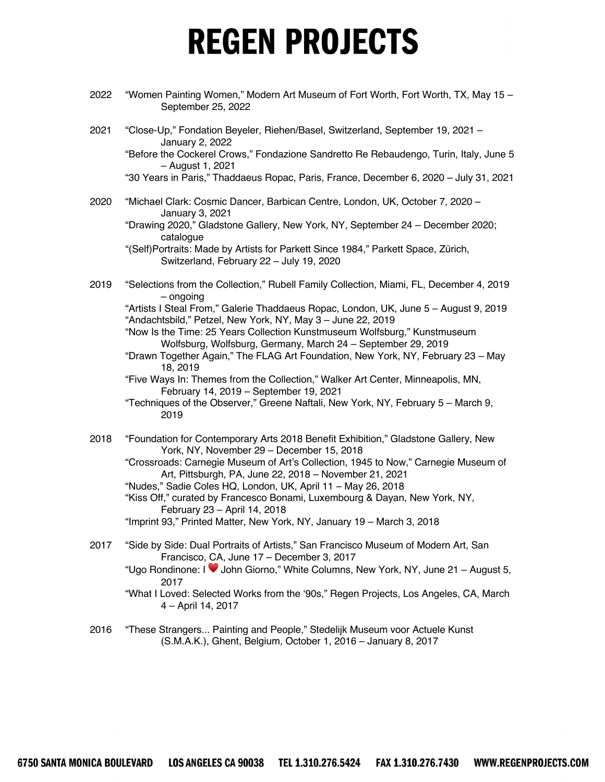- 2022 "Women Painting Women," Modern Art Museum of Fort Worth, Fort Worth, TX, May 15 September 25, 2022
- 2021 "Close-Up," Fondation Beyeler, Riehen/Basel, Switzerland, September 19, 2021 January 2, 2022

"Before the Cockerel Crows," Fondazione Sandretto Re Rebaudengo, Turin, Italy, June 5 – August 1, 2021

"30 Years in Paris," Thaddaeus Ropac, Paris, France, December 6, 2020 – July 31, 2021

- 2020 "Michael Clark: Cosmic Dancer, Barbican Centre, London, UK, October 7, 2020 January 3, 2021
	- "Drawing 2020," Gladstone Gallery, New York, NY, September 24 December 2020; catalogue

"(Self)Portraits: Made by Artists for Parkett Since 1984," Parkett Space, Zürich, Switzerland, February 22 – July 19, 2020

2019 "Selections from the Collection," Rubell Family Collection, Miami, FL, December 4, 2019 – ongoing

"Artists I Steal From," Galerie Thaddaeus Ropac, London, UK, June 5 – August 9, 2019 "Andachtsbild," Petzel, New York, NY, May 3 – June 22, 2019

"Now Is the Time: 25 Years Collection Kunstmuseum Wolfsburg," Kunstmuseum Wolfsburg, Wolfsburg, Germany, March 24 – September 29, 2019

- "Drawn Together Again," The FLAG Art Foundation, New York, NY, February 23 May 18, 2019
- "Five Ways In: Themes from the Collection," Walker Art Center, Minneapolis, MN, February 14, 2019 – September 19, 2021
- "Techniques of the Observer," Greene Naftali, New York, NY, February 5 March 9, 2019
- 2018 "Foundation for Contemporary Arts 2018 Benefit Exhibition," Gladstone Gallery, New York, NY, November 29 – December 15, 2018
	- "Crossroads: Carnegie Museum of Art's Collection, 1945 to Now," Carnegie Museum of Art, Pittsburgh, PA, June 22, 2018 – November 21, 2021
	- "Nudes," Sadie Coles HQ, London, UK, April 11 May 26, 2018

"Kiss Off," curated by Francesco Bonami, Luxembourg & Dayan, New York, NY, February 23 – April 14, 2018

"Imprint 93," Printed Matter, New York, NY, January 19 – March 3, 2018

2017 "Side by Side: Dual Portraits of Artists," San Francisco Museum of Modern Art, San Francisco, CA, June 17 – December 3, 2017

"Ugo Rondinone: I ♥ John Giorno," White Columns, New York, NY, June 21 – August 5, 2017

- "What I Loved: Selected Works from the '90s," Regen Projects, Los Angeles, CA, March 4 – April 14, 2017
- 2016 "These Strangers... Painting and People," Stedelijk Museum voor Actuele Kunst (S.M.A.K.), Ghent, Belgium, October 1, 2016 – January 8, 2017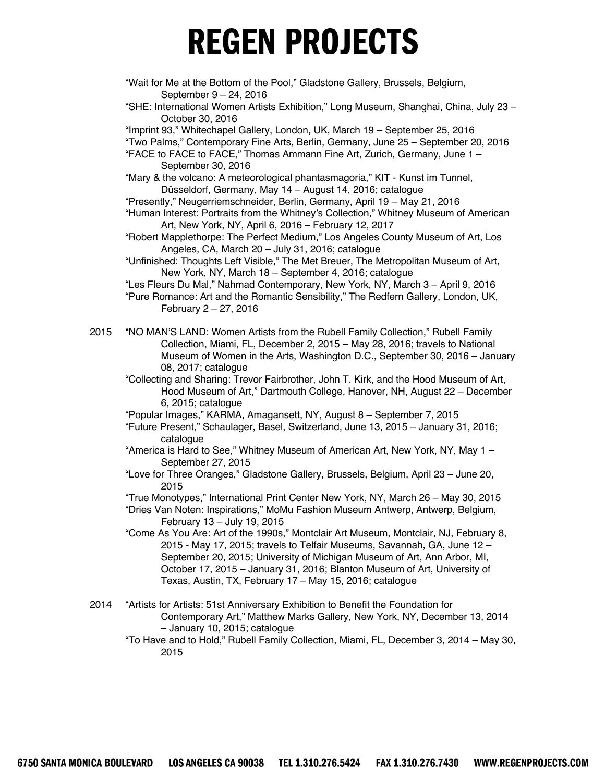- "Wait for Me at the Bottom of the Pool," Gladstone Gallery, Brussels, Belgium, September 9 – 24, 2016
- "SHE: International Women Artists Exhibition," Long Museum, Shanghai, China, July 23 October 30, 2016
- "Imprint 93," Whitechapel Gallery, London, UK, March 19 September 25, 2016
- "Two Palms," Contemporary Fine Arts, Berlin, Germany, June 25 September 20, 2016
- "FACE to FACE to FACE," Thomas Ammann Fine Art, Zurich, Germany, June 1 September 30, 2016
- "Mary & the volcano: A meteorological phantasmagoria," KIT Kunst im Tunnel, Düsseldorf, Germany, May 14 – August 14, 2016; catalogue
- "Presently," Neugerriemschneider, Berlin, Germany, April 19 May 21, 2016
- "Human Interest: Portraits from the Whitney's Collection," Whitney Museum of American Art, New York, NY, April 6, 2016 – February 12, 2017
- "Robert Mapplethorpe: The Perfect Medium," Los Angeles County Museum of Art, Los Angeles, CA, March 20 – July 31, 2016; catalogue
- "Unfinished: Thoughts Left Visible," The Met Breuer, The Metropolitan Museum of Art, New York, NY, March 18 – September 4, 2016; catalogue

"Les Fleurs Du Mal," Nahmad Contemporary, New York, NY, March 3 – April 9, 2016 "Pure Romance: Art and the Romantic Sensibility," The Redfern Gallery, London, UK,

- 2015 "NO MAN'S LAND: Women Artists from the Rubell Family Collection," Rubell Family Collection, Miami, FL, December 2, 2015 – May 28, 2016; travels to National Museum of Women in the Arts, Washington D.C., September 30, 2016 – January 08, 2017; catalogue
	- "Collecting and Sharing: Trevor Fairbrother, John T. Kirk, and the Hood Museum of Art, Hood Museum of Art," Dartmouth College, Hanover, NH, August 22 – December 6, 2015; catalogue
	- "Popular Images," KARMA, Amagansett, NY, August 8 September 7, 2015
	- "Future Present," Schaulager, Basel, Switzerland, June 13, 2015 January 31, 2016; catalogue
	- "America is Hard to See," Whitney Museum of American Art, New York, NY, May 1 September 27, 2015
	- "Love for Three Oranges," Gladstone Gallery, Brussels, Belgium, April 23 June 20, 2015

"True Monotypes," International Print Center New York, NY, March 26 – May 30, 2015

- "Dries Van Noten: Inspirations," MoMu Fashion Museum Antwerp, Antwerp, Belgium, February 13 – July 19, 2015
- "Come As You Are: Art of the 1990s," Montclair Art Museum, Montclair, NJ, February 8, 2015 - May 17, 2015; travels to Telfair Museums, Savannah, GA, June 12 – September 20, 2015; University of Michigan Museum of Art, Ann Arbor, MI, October 17, 2015 – January 31, 2016; Blanton Museum of Art, University of Texas, Austin, TX, February 17 – May 15, 2016; catalogue
- 2014 "Artists for Artists: 51st Anniversary Exhibition to Benefit the Foundation for Contemporary Art," Matthew Marks Gallery, New York, NY, December 13, 2014 – January 10, 2015; catalogue
	- "To Have and to Hold," Rubell Family Collection, Miami, FL, December 3, 2014 May 30, 2015

February 2 – 27, 2016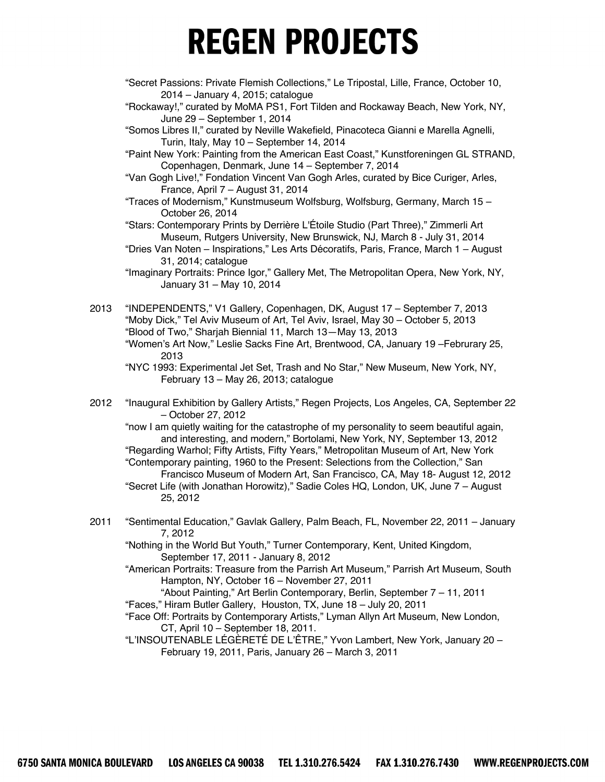- "Secret Passions: Private Flemish Collections," Le Tripostal, Lille, France, October 10, 2014 – January 4, 2015; catalogue
- "Rockaway!," curated by MoMA PS1, Fort Tilden and Rockaway Beach, New York, NY, June 29 – September 1, 2014
- "Somos Libres II," curated by Neville Wakefield, Pinacoteca Gianni e Marella Agnelli, Turin, Italy, May 10 – September 14, 2014
- "Paint New York: Painting from the American East Coast," Kunstforeningen GL STRAND, Copenhagen, Denmark, June 14 – September 7, 2014
- "Van Gogh Live!," Fondation Vincent Van Gogh Arles, curated by Bice Curiger, Arles, France, April 7 – August 31, 2014
- "Traces of Modernism," Kunstmuseum Wolfsburg, Wolfsburg, Germany, March 15 October 26, 2014
- "Stars: Contemporary Prints by Derrière L'Étoile Studio (Part Three)," Zimmerli Art Museum, Rutgers University, New Brunswick, NJ, March 8 - July 31, 2014
- "Dries Van Noten Inspirations," Les Arts Décoratifs, Paris, France, March 1 August 31, 2014; catalogue
- "Imaginary Portraits: Prince Igor," Gallery Met, The Metropolitan Opera, New York, NY, January 31 – May 10, 2014
- 2013 "INDEPENDENTS," V1 Gallery, Copenhagen, DK, August 17 September 7, 2013 "Moby Dick," Tel Aviv Museum of Art, Tel Aviv, Israel, May 30 – October 5, 2013 "Blood of Two," Sharjah Biennial 11, March 13—May 13, 2013
	- "Women's Art Now," Leslie Sacks Fine Art, Brentwood, CA, January 19 –Februrary 25, 2013
	- "NYC 1993: Experimental Jet Set, Trash and No Star," New Museum, New York, NY, February 13 – May 26, 2013; catalogue
- 2012 "Inaugural Exhibition by Gallery Artists," Regen Projects, Los Angeles, CA, September 22 – October 27, 2012

"now I am quietly waiting for the catastrophe of my personality to seem beautiful again, and interesting, and modern," Bortolami, New York, NY, September 13, 2012 "Regarding Warhol; Fifty Artists, Fifty Years," Metropolitan Museum of Art, New York

"Contemporary painting, 1960 to the Present: Selections from the Collection," San Francisco Museum of Modern Art, San Francisco, CA, May 18- August 12, 2012

"Secret Life (with Jonathan Horowitz)," Sadie Coles HQ, London, UK, June 7 – August 25, 2012

2011 "Sentimental Education," Gavlak Gallery, Palm Beach, FL, November 22, 2011 – January 7, 2012

"Nothing in the World But Youth," Turner Contemporary, Kent, United Kingdom, September 17, 2011 - January 8, 2012

"American Portraits: Treasure from the Parrish Art Museum," Parrish Art Museum, South Hampton, NY, October 16 – November 27, 2011

"About Painting," Art Berlin Contemporary, Berlin, September 7 – 11, 2011

"Faces," Hiram Butler Gallery, Houston, TX, June 18 – July 20, 2011

"Face Off: Portraits by Contemporary Artists," Lyman Allyn Art Museum, New London, CT, April 10 – September 18, 2011.

"L'INSOUTENABLE LÉGÈRETÉ DE L'ÊTRE," Yvon Lambert, New York, January 20 – February 19, 2011, Paris, January 26 – March 3, 2011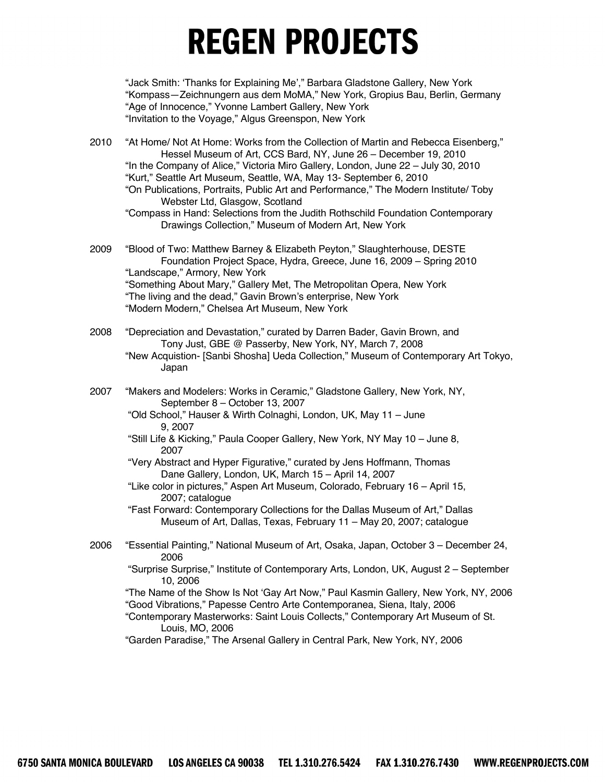"Jack Smith: 'Thanks for Explaining Me'," Barbara Gladstone Gallery, New York "Kompass—Zeichnungern aus dem MoMA," New York, Gropius Bau, Berlin, Germany "Age of Innocence," Yvonne Lambert Gallery, New York "Invitation to the Voyage," Algus Greenspon, New York

- 2010 "At Home/ Not At Home: Works from the Collection of Martin and Rebecca Eisenberg," Hessel Museum of Art, CCS Bard, NY, June 26 – December 19, 2010 "In the Company of Alice," Victoria Miro Gallery, London, June 22 – July 30, 2010 "Kurt," Seattle Art Museum, Seattle, WA, May 13- September 6, 2010 "On Publications, Portraits, Public Art and Performance," The Modern Institute/ Toby Webster Ltd, Glasgow, Scotland "Compass in Hand: Selections from the Judith Rothschild Foundation Contemporary Drawings Collection," Museum of Modern Art, New York 2009 "Blood of Two: Matthew Barney & Elizabeth Peyton," Slaughterhouse, DESTE Foundation Project Space, Hydra, Greece, June 16, 2009 – Spring 2010 "Landscape," Armory, New York "Something About Mary," Gallery Met, The Metropolitan Opera, New York "The living and the dead," Gavin Brown's enterprise, New York "Modern Modern," Chelsea Art Museum, New York 2008 "Depreciation and Devastation," curated by Darren Bader, Gavin Brown, and Tony Just, GBE @ Passerby, New York, NY, March 7, 2008 "New Acquistion- [Sanbi Shosha] Ueda Collection," Museum of Contemporary Art Tokyo, Japan 2007 "Makers and Modelers: Works in Ceramic," Gladstone Gallery, New York, NY, September 8 – October 13, 2007 "Old School," Hauser & Wirth Colnaghi, London, UK, May 11 – June 9, 2007 "Still Life & Kicking," Paula Cooper Gallery, New York, NY May 10 – June 8, 2007 "Very Abstract and Hyper Figurative," curated by Jens Hoffmann, Thomas Dane Gallery, London, UK, March 15 – April 14, 2007 "Like color in pictures," Aspen Art Museum, Colorado, February 16 – April 15, 2007; catalogue "Fast Forward: Contemporary Collections for the Dallas Museum of Art," Dallas Museum of Art, Dallas, Texas, February 11 – May 20, 2007; catalogue
- 2006 "Essential Painting," National Museum of Art, Osaka, Japan, October 3 December 24, 2006
	- "Surprise Surprise," Institute of Contemporary Arts, London, UK, August 2 September 10, 2006
	- "The Name of the Show Is Not 'Gay Art Now," Paul Kasmin Gallery, New York, NY, 2006 "Good Vibrations," Papesse Centro Arte Contemporanea, Siena, Italy, 2006
	- "Contemporary Masterworks: Saint Louis Collects," Contemporary Art Museum of St. Louis, MO, 2006
	- "Garden Paradise," The Arsenal Gallery in Central Park, New York, NY, 2006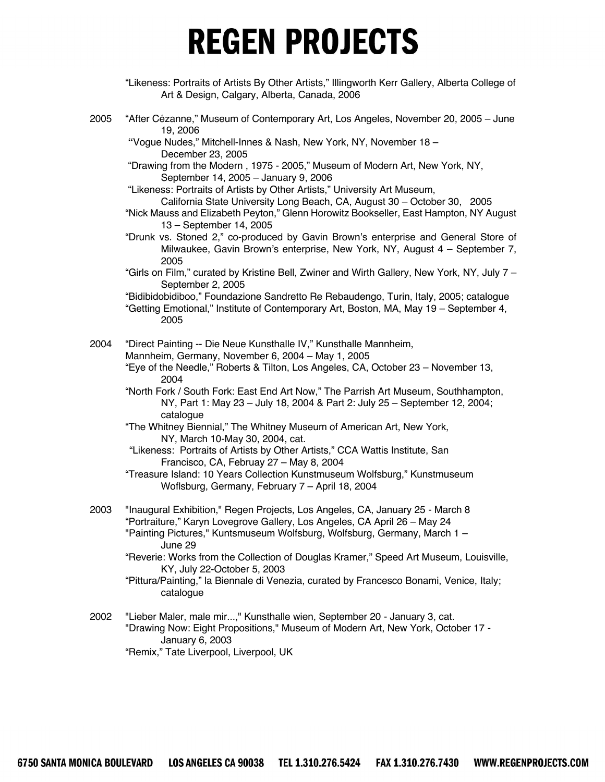- "Likeness: Portraits of Artists By Other Artists," Illingworth Kerr Gallery, Alberta College of Art & Design, Calgary, Alberta, Canada, 2006
- 2005 "After Cézanne," Museum of Contemporary Art, Los Angeles, November 20, 2005 June 19, 2006

**"**Vogue Nudes," Mitchell-Innes & Nash, New York, NY, November 18 – December 23, 2005

"Drawing from the Modern , 1975 - 2005," Museum of Modern Art, New York, NY, September 14, 2005 – January 9, 2006

"Likeness: Portraits of Artists by Other Artists," University Art Museum,

- California State University Long Beach, CA, August 30 October 30, 2005
- "Nick Mauss and Elizabeth Peyton," Glenn Horowitz Bookseller, East Hampton, NY August 13 – September 14, 2005
- "Drunk vs. Stoned 2," co-produced by Gavin Brown's enterprise and General Store of Milwaukee, Gavin Brown's enterprise, New York, NY, August 4 – September 7, 2005
- "Girls on Film," curated by Kristine Bell, Zwiner and Wirth Gallery, New York, NY, July 7 September 2, 2005

"Bidibidobidiboo," Foundazione Sandretto Re Rebaudengo, Turin, Italy, 2005; catalogue "Getting Emotional," Institute of Contemporary Art, Boston, MA, May 19 – September 4, 2005

- 2004 "Direct Painting -- Die Neue Kunsthalle IV," Kunsthalle Mannheim, Mannheim, Germany, November 6, 2004 – May 1, 2005
	- "Eye of the Needle," Roberts & Tilton, Los Angeles, CA, October 23 November 13, 2004
	- "North Fork / South Fork: East End Art Now," The Parrish Art Museum, Southhampton, NY, Part 1: May 23 – July 18, 2004 & Part 2: July 25 – September 12, 2004; catalogue
	- "The Whitney Biennial," The Whitney Museum of American Art, New York, NY, March 10-May 30, 2004, cat.
	- "Likeness: Portraits of Artists by Other Artists," CCA Wattis Institute, San Francisco, CA, Februay 27 – May 8, 2004
	- "Treasure Island: 10 Years Collection Kunstmuseum Wolfsburg," Kunstmuseum Woflsburg, Germany, February 7 – April 18, 2004
- 2003 "Inaugural Exhibition," Regen Projects, Los Angeles, CA, January 25 March 8 "Portraiture," Karyn Lovegrove Gallery, Los Angeles, CA April 26 – May 24 "Painting Pictures," Kuntsmuseum Wolfsburg, Wolfsburg, Germany, March 1 – June 29

"Reverie: Works from the Collection of Douglas Kramer," Speed Art Museum, Louisville, KY, July 22-October 5, 2003

- "Pittura/Painting," la Biennale di Venezia, curated by Francesco Bonami, Venice, Italy; catalogue
- 2002 "Lieber Maler, male mir...," Kunsthalle wien, September 20 January 3, cat. "Drawing Now: Eight Propositions," Museum of Modern Art, New York, October 17 - January 6, 2003 "Remix," Tate Liverpool, Liverpool, UK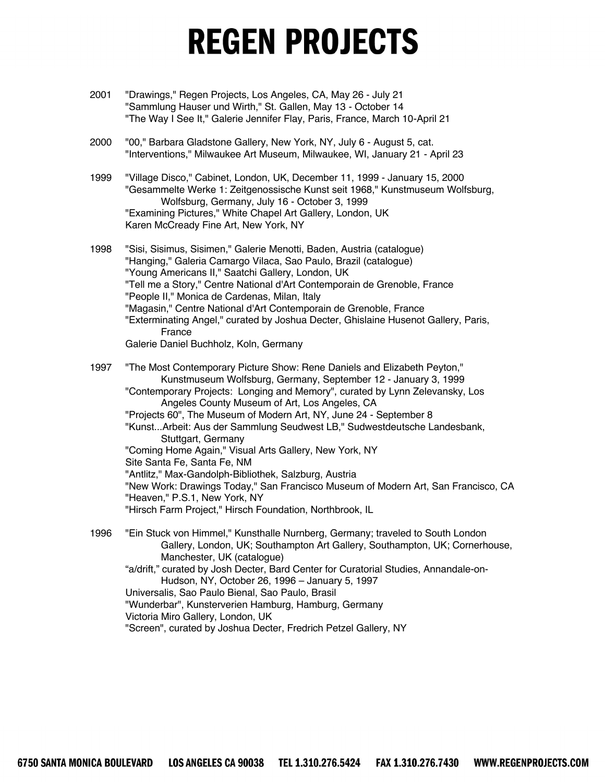- 2001 "Drawings," Regen Projects, Los Angeles, CA, May 26 July 21 "Sammlung Hauser und Wirth," St. Gallen, May 13 - October 14 "The Way I See It," Galerie Jennifer Flay, Paris, France, March 10-April 21
- 2000 "00," Barbara Gladstone Gallery, New York, NY, July 6 August 5, cat. "Interventions," Milwaukee Art Museum, Milwaukee, WI, January 21 - April 23
- 1999 "Village Disco," Cabinet, London, UK, December 11, 1999 January 15, 2000 "Gesammelte Werke 1: Zeitgenossische Kunst seit 1968," Kunstmuseum Wolfsburg, Wolfsburg, Germany, July 16 - October 3, 1999 "Examining Pictures," White Chapel Art Gallery, London, UK Karen McCready Fine Art, New York, NY
- 1998 "Sisi, Sisimus, Sisimen," Galerie Menotti, Baden, Austria (catalogue) "Hanging," Galeria Camargo Vilaca, Sao Paulo, Brazil (catalogue) "Young Americans II," Saatchi Gallery, London, UK "Tell me a Story," Centre National d'Art Contemporain de Grenoble, France "People II," Monica de Cardenas, Milan, Italy "Magasin," Centre National d'Art Contemporain de Grenoble, France "Exterminating Angel," curated by Joshua Decter, Ghislaine Husenot Gallery, Paris, France Galerie Daniel Buchholz, Koln, Germany

1997 "The Most Contemporary Picture Show: Rene Daniels and Elizabeth Peyton," Kunstmuseum Wolfsburg, Germany, September 12 - January 3, 1999 "Contemporary Projects: Longing and Memory", curated by Lynn Zelevansky, Los Angeles County Museum of Art, Los Angeles, CA "Projects 60", The Museum of Modern Art, NY, June 24 - September 8 "Kunst...Arbeit: Aus der Sammlung Seudwest LB," Sudwestdeutsche Landesbank, Stuttgart, Germany "Coming Home Again," Visual Arts Gallery, New York, NY Site Santa Fe, Santa Fe, NM "Antlitz," Max-Gandolph-Bibliothek, Salzburg, Austria "New Work: Drawings Today," San Francisco Museum of Modern Art, San Francisco, CA "Heaven," P.S.1, New York, NY "Hirsch Farm Project," Hirsch Foundation, Northbrook, IL

1996 "Ein Stuck von Himmel," Kunsthalle Nurnberg, Germany; traveled to South London Gallery, London, UK; Southampton Art Gallery, Southampton, UK; Cornerhouse, Manchester, UK (catalogue)

"a/drift," curated by Josh Decter, Bard Center for Curatorial Studies, Annandale-on-Hudson, NY, October 26, 1996 – January 5, 1997

Universalis, Sao Paulo Bienal, Sao Paulo, Brasil

"Wunderbar", Kunsterverien Hamburg, Hamburg, Germany

Victoria Miro Gallery, London, UK

"Screen", curated by Joshua Decter, Fredrich Petzel Gallery, NY